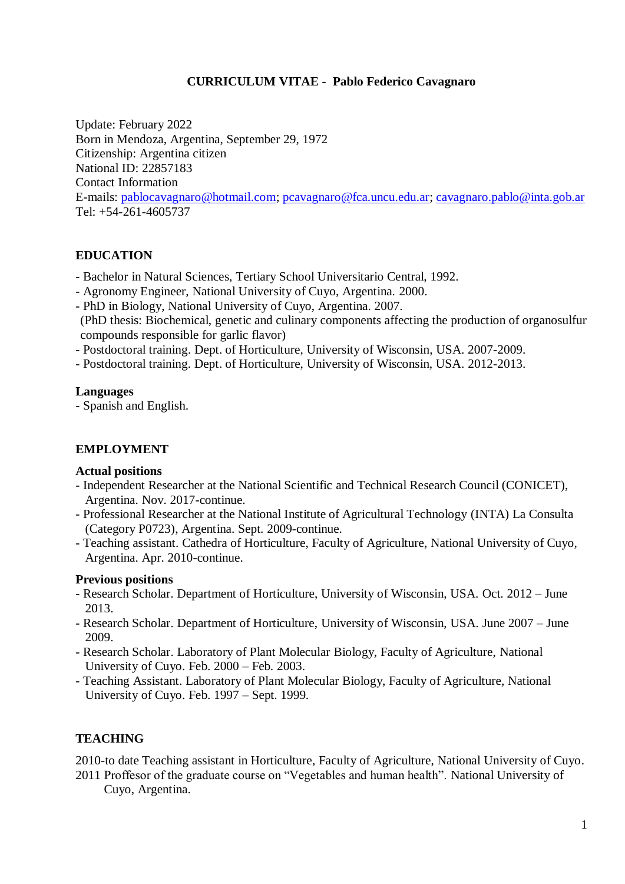## **CURRICULUM VITAE - Pablo Federico Cavagnaro**

Update: February 2022 Born in Mendoza, Argentina, September 29, 1972 Citizenship: Argentina citizen National ID: 22857183 Contact Information E-mails: [pablocavagnaro@hotmail.com;](mailto:pablocavagnaro@hotmail.com) [pcavagnaro@fca.uncu.edu.ar;](mailto:pcavagnaro@fca.uncu.edu.ar) [cavagnaro.pablo@inta.gob.ar](mailto:cavagnaro.pablo@inta.gob.ar) Tel: +54-261-4605737

# **EDUCATION**

- Bachelor in Natural Sciences, Tertiary School Universitario Central, 1992.

- Agronomy Engineer, National University of Cuyo, Argentina. 2000.
- PhD in Biology, National University of Cuyo, Argentina. 2007.
- (PhD thesis: Biochemical, genetic and culinary components affecting the production of organosulfur compounds responsible for garlic flavor)
- Postdoctoral training. Dept. of Horticulture, University of Wisconsin, USA. 2007-2009.
- Postdoctoral training. Dept. of Horticulture, University of Wisconsin, USA. 2012-2013.

#### **Languages**

- Spanish and English.

## **EMPLOYMENT**

#### **Actual positions**

- Independent Researcher at the National Scientific and Technical Research Council (CONICET), Argentina. Nov. 2017-continue.
- Professional Researcher at the National Institute of Agricultural Technology (INTA) La Consulta (Category P0723), Argentina. Sept. 2009-continue.
- Teaching assistant. Cathedra of Horticulture, Faculty of Agriculture, National University of Cuyo, Argentina. Apr. 2010-continue.

## **Previous positions**

- Research Scholar. Department of Horticulture, University of Wisconsin, USA. Oct. 2012 June 2013.
- Research Scholar. Department of Horticulture, University of Wisconsin, USA. June 2007 June 2009.
- Research Scholar. Laboratory of Plant Molecular Biology, Faculty of Agriculture, National University of Cuyo. Feb. 2000 – Feb. 2003.
- Teaching Assistant. Laboratory of Plant Molecular Biology, Faculty of Agriculture, National University of Cuyo. Feb. 1997 – Sept. 1999.

# **TEACHING**

2010-to date Teaching assistant in Horticulture, Faculty of Agriculture, National University of Cuyo. 2011 Proffesor of the graduate course on "Vegetables and human health". National University of

Cuyo, Argentina.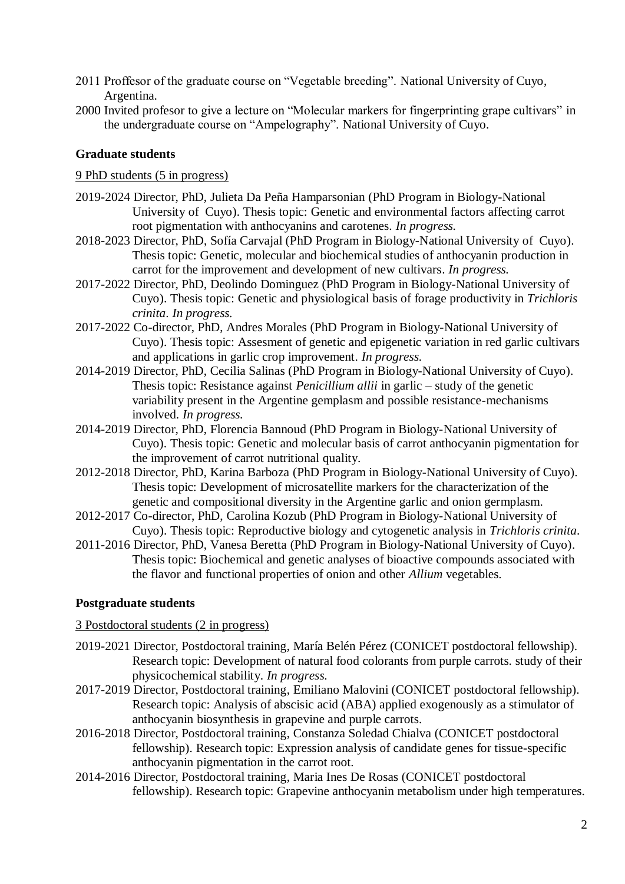- 2011 Proffesor of the graduate course on "Vegetable breeding". National University of Cuyo, Argentina.
- 2000 Invited profesor to give a lecture on "Molecular markers for fingerprinting grape cultivars" in the undergraduate course on "Ampelography". National University of Cuyo.

### **Graduate students**

#### 9 PhD students (5 in progress)

- 2019-2024 Director, PhD, Julieta Da Peña Hamparsonian (PhD Program in Biology-National University of Cuyo). Thesis topic: Genetic and environmental factors affecting carrot root pigmentation with anthocyanins and carotenes. *In progress.*
- 2018-2023 Director, PhD, Sofía Carvajal (PhD Program in Biology-National University of Cuyo). Thesis topic: Genetic, molecular and biochemical studies of anthocyanin production in carrot for the improvement and development of new cultivars. *In progress.*
- 2017-2022 Director, PhD, Deolindo Dominguez (PhD Program in Biology-National University of Cuyo). Thesis topic: Genetic and physiological basis of forage productivity in *Trichloris crinita*. *In progress.*
- 2017-2022 Co-director, PhD, Andres Morales (PhD Program in Biology-National University of Cuyo). Thesis topic: Assesment of genetic and epigenetic variation in red garlic cultivars and applications in garlic crop improvement. *In progress.*
- 2014-2019 Director, PhD, Cecilia Salinas (PhD Program in Biology-National University of Cuyo). Thesis topic: Resistance against *Penicillium allii* in garlic – study of the genetic variability present in the Argentine gemplasm and possible resistance-mechanisms involved. *In progress.*
- 2014-2019 Director, PhD, Florencia Bannoud (PhD Program in Biology-National University of Cuyo). Thesis topic: Genetic and molecular basis of carrot anthocyanin pigmentation for the improvement of carrot nutritional quality.
- 2012-2018 Director, PhD, Karina Barboza (PhD Program in Biology-National University of Cuyo). Thesis topic: Development of microsatellite markers for the characterization of the genetic and compositional diversity in the Argentine garlic and onion germplasm.
- 2012-2017 Co-director, PhD, Carolina Kozub (PhD Program in Biology-National University of Cuyo). Thesis topic: Reproductive biology and cytogenetic analysis in *Trichloris crinita*.
- 2011-2016 Director, PhD, Vanesa Beretta (PhD Program in Biology-National University of Cuyo). Thesis topic: Biochemical and genetic analyses of bioactive compounds associated with the flavor and functional properties of onion and other *Allium* vegetables.

#### **Postgraduate students**

#### 3 Postdoctoral students (2 in progress)

- 2019-2021 Director, Postdoctoral training, María Belén Pérez (CONICET postdoctoral fellowship). Research topic: Development of natural food colorants from purple carrots. study of their physicochemical stability. *In progress.*
- 2017-2019 Director, Postdoctoral training, Emiliano Malovini (CONICET postdoctoral fellowship). Research topic: Analysis of abscisic acid (ABA) applied exogenously as a stimulator of anthocyanin biosynthesis in grapevine and purple carrots.
- 2016-2018 Director, Postdoctoral training, Constanza Soledad Chialva (CONICET postdoctoral fellowship). Research topic: Expression analysis of candidate genes for tissue-specific anthocyanin pigmentation in the carrot root.
- 2014-2016 Director, Postdoctoral training, Maria Ines De Rosas (CONICET postdoctoral fellowship). Research topic: Grapevine anthocyanin metabolism under high temperatures.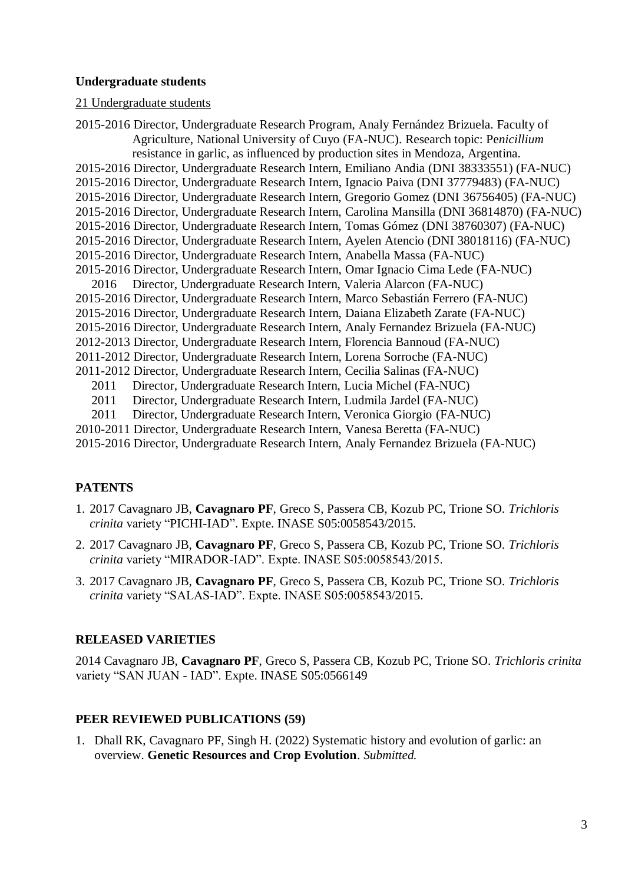#### **Undergraduate students**

#### 21 Undergraduate students

2015-2016 Director, Undergraduate Research Program, Analy Fernández Brizuela. Faculty of Agriculture, National University of Cuyo (FA-NUC). Research topic: Pe*nicillium* resistance in garlic, as influenced by production sites in Mendoza, Argentina. 2015-2016 Director, Undergraduate Research Intern, Emiliano Andia (DNI 38333551) (FA-NUC) 2015-2016 Director, Undergraduate Research Intern, Ignacio Paiva (DNI 37779483) (FA-NUC) 2015-2016 Director, Undergraduate Research Intern, Gregorio Gomez (DNI 36756405) (FA-NUC) 2015-2016 Director, Undergraduate Research Intern, Carolina Mansilla (DNI 36814870) (FA-NUC) 2015-2016 Director, Undergraduate Research Intern, Tomas Gómez (DNI 38760307) (FA-NUC) 2015-2016 Director, Undergraduate Research Intern, Ayelen Atencio (DNI 38018116) (FA-NUC) 2015-2016 Director, Undergraduate Research Intern, Anabella Massa (FA-NUC) 2015-2016 Director, Undergraduate Research Intern, Omar Ignacio Cima Lede (FA-NUC) 2016 Director, Undergraduate Research Intern, Valeria Alarcon (FA-NUC) 2015-2016 Director, Undergraduate Research Intern, Marco Sebastián Ferrero (FA-NUC) 2015-2016 Director, Undergraduate Research Intern, Daiana Elizabeth Zarate (FA-NUC) 2015-2016 Director, Undergraduate Research Intern, Analy Fernandez Brizuela (FA-NUC) 2012-2013 Director, Undergraduate Research Intern, Florencia Bannoud (FA-NUC) 2011-2012 Director, Undergraduate Research Intern, Lorena Sorroche (FA-NUC) 2011-2012 Director, Undergraduate Research Intern, Cecilia Salinas (FA-NUC) 2011 Director, Undergraduate Research Intern, Lucia Michel (FA-NUC) 2011 Director, Undergraduate Research Intern, Ludmila Jardel (FA-NUC) 2011 Director, Undergraduate Research Intern, Veronica Giorgio (FA-NUC) 2010-2011 Director, Undergraduate Research Intern, Vanesa Beretta (FA-NUC)

2015-2016 Director, Undergraduate Research Intern, Analy Fernandez Brizuela (FA-NUC)

## **PATENTS**

- 1. 2017 Cavagnaro JB, **Cavagnaro PF**, Greco S, Passera CB, Kozub PC, Trione SO. *Trichloris crinita* variety "PICHI-IAD". Expte. INASE S05:0058543/2015.
- 2. 2017 Cavagnaro JB, **Cavagnaro PF**, Greco S, Passera CB, Kozub PC, Trione SO. *Trichloris crinita* variety "MIRADOR-IAD". Expte. INASE S05:0058543/2015.
- 3. 2017 Cavagnaro JB, **Cavagnaro PF**, Greco S, Passera CB, Kozub PC, Trione SO. *Trichloris crinita* variety "SALAS-IAD". Expte. INASE S05:0058543/2015.

#### **RELEASED VARIETIES**

2014 Cavagnaro JB, **Cavagnaro PF**, Greco S, Passera CB, Kozub PC, Trione SO. *Trichloris crinita* variety "SAN JUAN - IAD". Expte. INASE S05:0566149

### **PEER REVIEWED PUBLICATIONS (59)**

1. Dhall RK, Cavagnaro PF, Singh H. (2022) Systematic history and evolution of garlic: an overview. **Genetic Resources and Crop Evolution**. *Submitted.*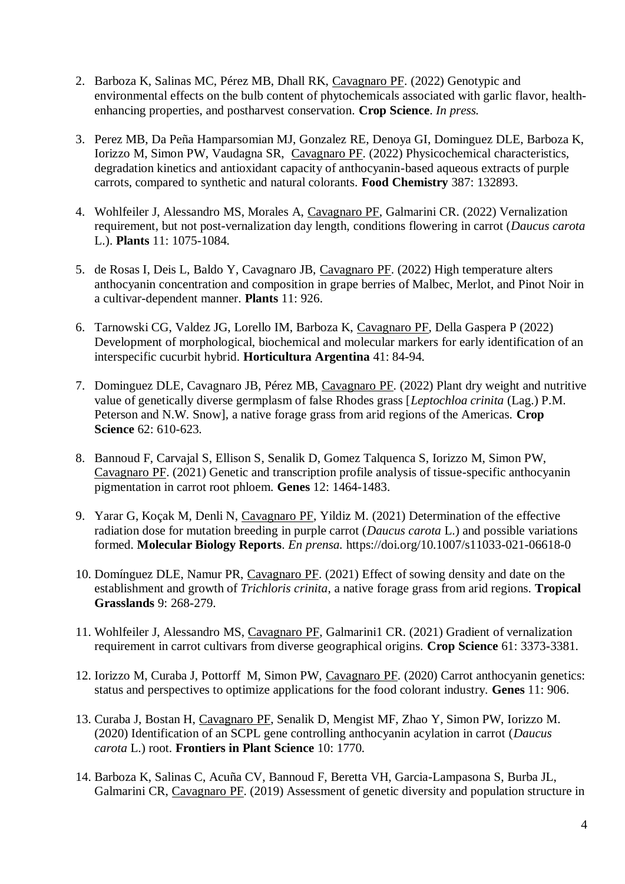- 2. Barboza K, Salinas MC, Pérez MB, Dhall RK, Cavagnaro PF. (2022) Genotypic and environmental effects on the bulb content of phytochemicals associated with garlic flavor, healthenhancing properties, and postharvest conservation. **Crop Science**. *In press.*
- 3. Perez MB, Da Peña Hamparsomian MJ, Gonzalez RE, Denoya GI, Dominguez DLE, Barboza K, Iorizzo M, Simon PW, Vaudagna SR, Cavagnaro PF. (2022) Physicochemical characteristics, degradation kinetics and antioxidant capacity of anthocyanin-based aqueous extracts of purple carrots, compared to synthetic and natural colorants. **Food Chemistry** 387: 132893.
- 4. Wohlfeiler J, Alessandro MS, Morales A, Cavagnaro PF, Galmarini CR. (2022) Vernalization requirement, but not post-vernalization day length, conditions flowering in carrot (*Daucus carota* L.). **Plants** 11: 1075-1084.
- 5. de Rosas I, Deis L, Baldo Y, Cavagnaro JB, Cavagnaro PF. (2022) High temperature alters anthocyanin concentration and composition in grape berries of Malbec, Merlot, and Pinot Noir in a cultivar-dependent manner. **Plants** 11: 926.
- 6. Tarnowski CG, Valdez JG, Lorello IM, Barboza K, Cavagnaro PF, Della Gaspera P (2022) Development of morphological, biochemical and molecular markers for early identification of an interspecific cucurbit hybrid. **Horticultura Argentina** 41: 84-94.
- 7. Dominguez DLE, Cavagnaro JB, Pérez MB, Cavagnaro PF. (2022) Plant dry weight and nutritive value of genetically diverse germplasm of false Rhodes grass [*Leptochloa crinita* (Lag.) P.M. Peterson and N.W. Snow], a native forage grass from arid regions of the Americas. **Crop Science** 62: 610-623.
- 8. Bannoud F, Carvajal S, Ellison S, Senalik D, Gomez Talquenca S, Iorizzo M, Simon PW, Cavagnaro PF. (2021) Genetic and transcription profile analysis of tissue-specific anthocyanin pigmentation in carrot root phloem. **Genes** 12: 1464-1483.
- 9. Yarar G, Koçak M, Denli N, Cavagnaro PF, Yildiz M. (2021) Determination of the effective radiation dose for mutation breeding in purple carrot (*Daucus carota* L.) and possible variations formed. **Molecular Biology Reports**. *En prensa.* https://doi.org/10.1007/s11033-021-06618-0
- 10. Domínguez DLE, Namur PR, Cavagnaro PF. (2021) Effect of sowing density and date on the establishment and growth of *Trichloris crinita*, a native forage grass from arid regions. **Tropical Grasslands** 9: 268-279.
- 11. Wohlfeiler J, Alessandro MS, Cavagnaro PF, Galmarini1 CR. (2021) Gradient of vernalization requirement in carrot cultivars from diverse geographical origins. **Crop Science** 61: 3373-3381.
- 12. Iorizzo M, Curaba J, Pottorff M, Simon PW, Cavagnaro PF. (2020) Carrot anthocyanin genetics: status and perspectives to optimize applications for the food colorant industry. **Genes** 11: 906.
- 13. Curaba J, Bostan H, Cavagnaro PF, Senalik D, Mengist MF, Zhao Y, Simon PW, Iorizzo M. (2020) Identification of an SCPL gene controlling anthocyanin acylation in carrot (*Daucus carota* L.) root. **Frontiers in Plant Science** 10: 1770*.*
- 14. Barboza K, Salinas C, Acuña CV, Bannoud F, Beretta VH, Garcia-Lampasona S, Burba JL, Galmarini CR, Cavagnaro PF. (2019) Assessment of genetic diversity and population structure in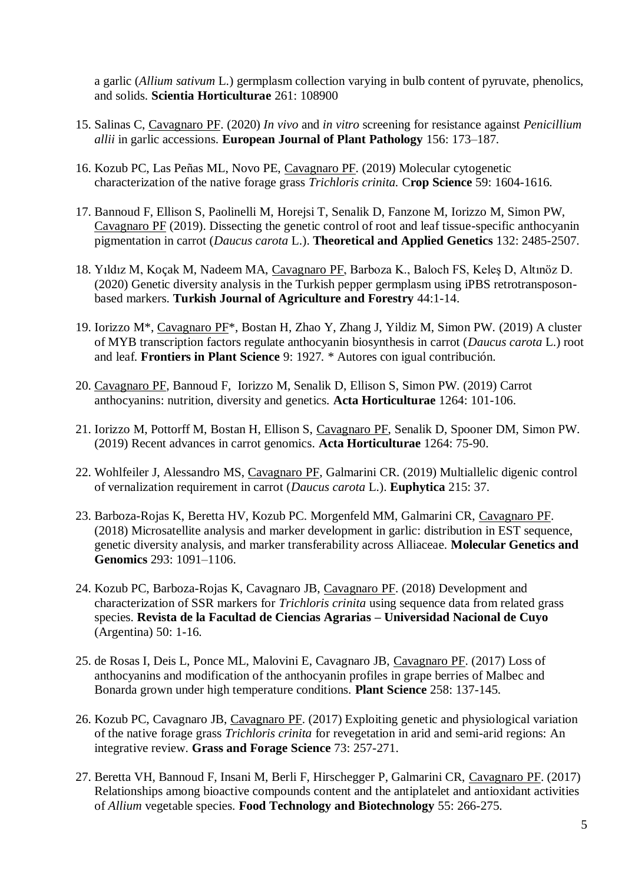a garlic (*Allium sativum* L.) germplasm collection varying in bulb content of pyruvate, phenolics, and solids. **Scientia Horticulturae** 261: 108900

- 15. Salinas C, Cavagnaro PF. (2020) *In vivo* and *in vitro* screening for resistance against *Penicillium allii* in garlic accessions. **European Journal of Plant Pathology** 156: 173–187.
- 16. Kozub PC, Las Peñas ML, Novo PE, Cavagnaro PF. (2019) Molecular cytogenetic characterization of the native forage grass *Trichloris crinita.* C**rop Science** 59: 1604-1616.
- 17. Bannoud F, Ellison S, Paolinelli M, Horejsi T, Senalik D, Fanzone M, Iorizzo M, Simon PW, Cavagnaro PF (2019). Dissecting the genetic control of root and leaf tissue-specific anthocyanin pigmentation in carrot (*Daucus carota* L.). **Theoretical and Applied Genetics** 132: 2485-2507.
- 18. Yıldız M, Koçak M, Nadeem MA, Cavagnaro PF, Barboza K., Baloch FS, Keleş D, Altınöz D. (2020) Genetic diversity analysis in the Turkish pepper germplasm using iPBS retrotransposonbased markers. **Turkish Journal of Agriculture and Forestry** 44:1-14.
- 19. Iorizzo M\*, Cavagnaro PF\*, Bostan H, Zhao Y, Zhang J, Yildiz M, Simon PW. (2019) A cluster of MYB transcription factors regulate anthocyanin biosynthesis in carrot (*Daucus carota* L.) root and leaf. **Frontiers in Plant Science** 9: 1927*.* \* Autores con igual contribución.
- 20. Cavagnaro PF, Bannoud F, Iorizzo M, Senalik D, Ellison S, Simon PW. (2019) Carrot anthocyanins: nutrition, diversity and genetics. **Acta Horticulturae** 1264: 101-106.
- 21. Iorizzo M, Pottorff M, Bostan H, Ellison S, Cavagnaro PF, Senalik D, Spooner DM, Simon PW. (2019) Recent advances in carrot genomics. **Acta Horticulturae** 1264: 75-90.
- 22. Wohlfeiler J, Alessandro MS, Cavagnaro PF, Galmarini CR. (2019) Multiallelic digenic control of vernalization requirement in carrot (*Daucus carota* L.). **Euphytica** 215: 37.
- 23. Barboza-Rojas K, Beretta HV, Kozub PC. Morgenfeld MM, Galmarini CR, Cavagnaro PF. (2018) Microsatellite analysis and marker development in garlic: distribution in EST sequence, genetic diversity analysis, and marker transferability across Alliaceae. **Molecular Genetics and Genomics** 293: 1091–1106.
- 24. Kozub PC, Barboza-Rojas K, Cavagnaro JB, Cavagnaro PF. (2018) Development and characterization of SSR markers for *Trichloris crinita* using sequence data from related grass species. **Revista de la Facultad de Ciencias Agrarias – Universidad Nacional de Cuyo**  (Argentina) 50: 1-16.
- 25. de Rosas I, Deis L, Ponce ML, Malovini E, Cavagnaro JB, Cavagnaro PF. (2017) Loss of anthocyanins and modification of the anthocyanin profiles in grape berries of Malbec and Bonarda grown under high temperature conditions. **Plant Science** 258: 137-145.
- 26. Kozub PC, Cavagnaro JB, Cavagnaro PF. (2017) Exploiting genetic and physiological variation of the native forage grass *Trichloris crinita* for revegetation in arid and semi-arid regions: An integrative review. **Grass and Forage Science** 73: 257-271.
- 27. Beretta VH, Bannoud F, Insani M, Berli F, Hirschegger P, Galmarini CR, Cavagnaro PF. (2017) Relationships among bioactive compounds content and the antiplatelet and antioxidant activities of *Allium* vegetable species. **Food Technology and Biotechnology** 55: 266-275.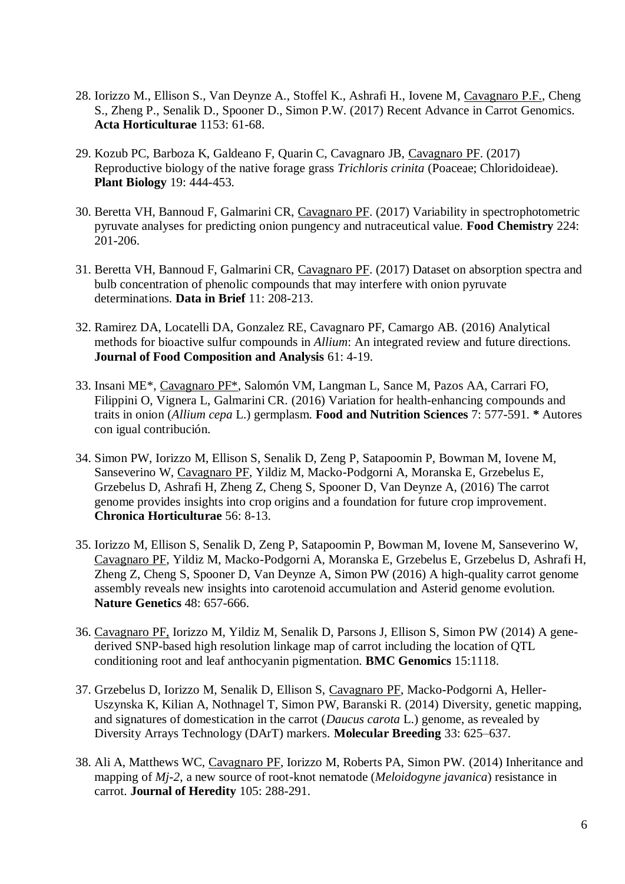- 28. Iorizzo M., Ellison S., Van Deynze A., Stoffel K., Ashrafi H., Iovene M, Cavagnaro P.F., Cheng S., Zheng P., Senalik D., Spooner D., Simon P.W. (2017) Recent Advance in Carrot Genomics. **Acta Horticulturae** 1153: 61-68.
- 29. Kozub PC, Barboza K, Galdeano F, Quarin C, Cavagnaro JB, Cavagnaro PF. (2017) Reproductive biology of the native forage grass *Trichloris crinita* (Poaceae; Chloridoideae). **Plant Biology** 19: 444-453.
- 30. Beretta VH, Bannoud F, Galmarini CR, Cavagnaro PF. (2017) Variability in spectrophotometric pyruvate analyses for predicting onion pungency and nutraceutical value. **Food Chemistry** 224: 201-206.
- 31. Beretta VH, Bannoud F, Galmarini CR, Cavagnaro PF. (2017) Dataset on absorption spectra and bulb concentration of phenolic compounds that may interfere with onion pyruvate determinations. **Data in Brief** 11: 208-213.
- 32. Ramirez DA, Locatelli DA, Gonzalez RE, Cavagnaro PF, Camargo AB. (2016) Analytical methods for bioactive sulfur compounds in *Allium*: An integrated review and future directions. **Journal of Food Composition and Analysis** 61: 4-19.
- 33. Insani ME\*, Cavagnaro PF\*, Salomón VM, Langman L, Sance M, Pazos AA, Carrari FO, Filippini O, Vignera L, Galmarini CR. (2016) Variation for health-enhancing compounds and traits in onion (*Allium cepa* L.) germplasm. **Food and Nutrition Sciences** 7: 577-591. **\*** Autores con igual contribución.
- 34. Simon PW, Iorizzo M, Ellison S, Senalik D, Zeng P, Satapoomin P, Bowman M, Iovene M, Sanseverino W, Cavagnaro PF, Yildiz M, Macko-Podgorni A, Moranska E, Grzebelus E, Grzebelus D, Ashrafi H, Zheng Z, Cheng S, Spooner D, Van Deynze A, (2016) The carrot genome provides insights into crop origins and a foundation for future crop improvement. **Chronica Horticulturae** 56: 8-13.
- 35. Iorizzo M, Ellison S, Senalik D, Zeng P, Satapoomin P, Bowman M, Iovene M, Sanseverino W, Cavagnaro PF, Yildiz M, Macko-Podgorni A, Moranska E, Grzebelus E, Grzebelus D, Ashrafi H, Zheng Z, Cheng S, Spooner D, Van Deynze A, Simon PW (2016) A high-quality carrot genome assembly reveals new insights into carotenoid accumulation and Asterid genome evolution. **Nature Genetics** 48: 657-666.
- 36. Cavagnaro PF, Iorizzo M, Yildiz M, Senalik D, Parsons J, Ellison S, Simon PW (2014) A genederived SNP-based high resolution linkage map of carrot including the location of QTL conditioning root and leaf anthocyanin pigmentation. **BMC Genomics** 15:1118.
- 37. Grzebelus D, Iorizzo M, Senalik D, Ellison S, Cavagnaro PF, Macko-Podgorni A, Heller-Uszynska K, Kilian A, Nothnagel T, Simon PW, Baranski R. (2014) Diversity, genetic mapping, and signatures of domestication in the carrot (*Daucus carota* L.) genome, as revealed by Diversity Arrays Technology (DArT) markers. **Molecular Breeding** 33: 625–637.
- 38. Ali A, Matthews WC, Cavagnaro PF, Iorizzo M, Roberts PA, Simon PW. (2014) Inheritance and mapping of *Mj-2*, a new source of root-knot nematode (*Meloidogyne javanica*) resistance in carrot. **Journal of Heredity** 105: 288-291.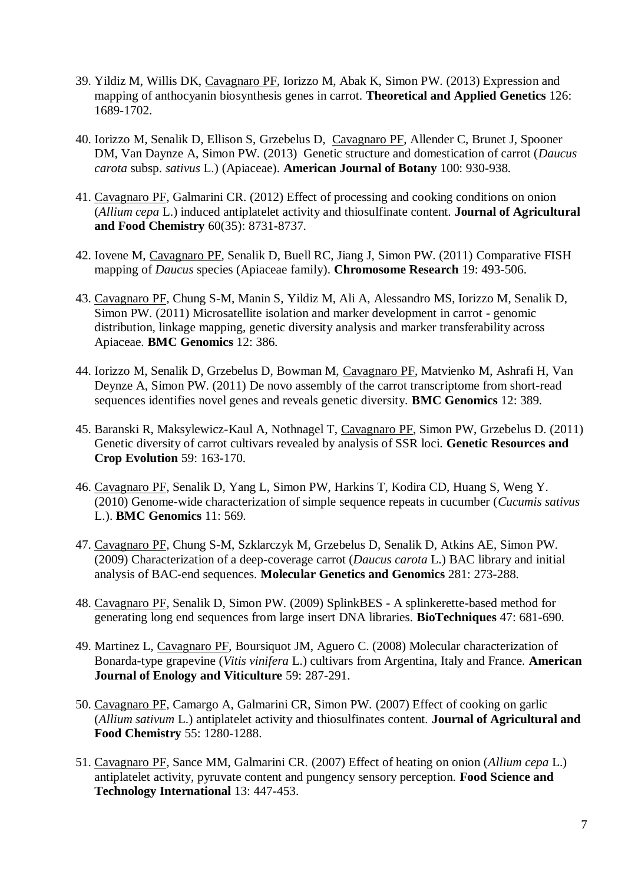- 39. Yildiz M, Willis DK, Cavagnaro PF, Iorizzo M, Abak K, Simon PW. (2013) Expression and mapping of anthocyanin biosynthesis genes in carrot. **Theoretical and Applied Genetics** 126: 1689-1702.
- 40. Iorizzo M, Senalik D, Ellison S, Grzebelus D, Cavagnaro PF, Allender C, Brunet J, Spooner DM, Van Daynze A, Simon PW. (2013) Genetic structure and domestication of carrot (*Daucus carota* subsp. *sativus* L.) (Apiaceae). **American Journal of Botany** 100: 930-938.
- 41. Cavagnaro PF, Galmarini CR. (2012) Effect of processing and cooking conditions on onion (*Allium cepa* L.) induced antiplatelet activity and thiosulfinate content. **Journal of Agricultural and Food Chemistry** 60(35): 8731-8737.
- 42. Iovene M, Cavagnaro PF, Senalik D, Buell RC, Jiang J, Simon PW. (2011) Comparative FISH mapping of *Daucus* species (Apiaceae family). **Chromosome Research** 19: 493-506.
- 43. Cavagnaro PF, Chung S-M, Manin S, Yildiz M, Ali A, Alessandro MS, Iorizzo M, Senalik D, Simon PW. (2011) Microsatellite isolation and marker development in carrot - genomic distribution, linkage mapping, genetic diversity analysis and marker transferability across Apiaceae. **BMC Genomics** 12: 386.
- 44. Iorizzo M, Senalik D, Grzebelus D, Bowman M, Cavagnaro PF, Matvienko M, Ashrafi H, Van Deynze A, Simon PW. (2011) De novo assembly of the carrot transcriptome from short-read sequences identifies novel genes and reveals genetic diversity. **BMC Genomics** 12: 389.
- 45. Baranski R, Maksylewicz-Kaul A, Nothnagel T, Cavagnaro PF, Simon PW, Grzebelus D. (2011) Genetic diversity of carrot cultivars revealed by analysis of SSR loci. **Genetic Resources and Crop Evolution** 59: 163-170.
- 46. Cavagnaro PF, Senalik D, Yang L, Simon PW, Harkins T, Kodira CD, Huang S, Weng Y. (2010) Genome-wide characterization of simple sequence repeats in cucumber (*Cucumis sativus* L.). **BMC Genomics** 11: 569.
- 47. Cavagnaro PF, Chung S-M, Szklarczyk M, Grzebelus D, Senalik D, Atkins AE, Simon PW. (2009) Characterization of a deep-coverage carrot (*Daucus carota* L.) BAC library and initial analysis of BAC-end sequences. **Molecular Genetics and Genomics** 281: 273-288.
- 48. Cavagnaro PF, Senalik D, Simon PW. (2009) SplinkBES A splinkerette-based method for generating long end sequences from large insert DNA libraries. **BioTechniques** 47: 681-690.
- 49. Martinez L, Cavagnaro PF, Boursiquot JM, Aguero C. (2008) Molecular characterization of Bonarda-type grapevine (*Vitis vinifera* L.) cultivars from Argentina, Italy and France. **American Journal of Enology and Viticulture** 59: 287-291.
- 50. Cavagnaro PF, Camargo A, Galmarini CR, Simon PW. (2007) Effect of cooking on garlic (*Allium sativum* L.) antiplatelet activity and thiosulfinates content. **Journal of Agricultural and Food Chemistry** 55: 1280-1288.
- 51. Cavagnaro PF, Sance MM, Galmarini CR. (2007) Effect of heating on onion (*Allium cepa* L.) antiplatelet activity, pyruvate content and pungency sensory perception. **Food Science and Technology International** 13: 447-453.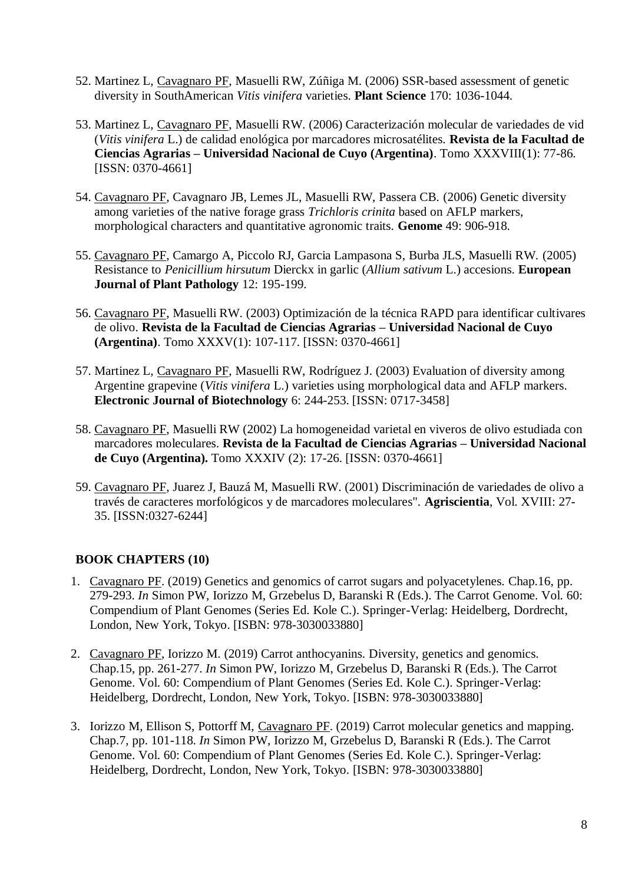- 52. Martinez L, Cavagnaro PF, Masuelli RW, Zúñiga M. (2006) SSR-based assessment of genetic diversity in SouthAmerican *Vitis vinifera* varieties. **Plant Science** 170: 1036-1044.
- 53. Martinez L, Cavagnaro PF, Masuelli RW. (2006) Caracterización molecular de variedades de vid (*Vitis vinifera* L.) de calidad enológica por marcadores microsatélites. **Revista de la Facultad de Ciencias Agrarias – Universidad Nacional de Cuyo (Argentina)**. Tomo XXXVIII(1): 77-86. [ISSN: 0370-4661]
- 54. Cavagnaro PF, Cavagnaro JB, Lemes JL, Masuelli RW, Passera CB. (2006) Genetic diversity among varieties of the native forage grass *Trichloris crinita* based on AFLP markers, morphological characters and quantitative agronomic traits. **Genome** 49: 906-918.
- 55. Cavagnaro PF, Camargo A, Piccolo RJ, Garcia Lampasona S, Burba JLS, Masuelli RW. (2005) Resistance to *Penicillium hirsutum* Dierckx in garlic (*Allium sativum* L.) accesions. **European Journal of Plant Pathology** 12: 195-199.
- 56. Cavagnaro PF, Masuelli RW. (2003) Optimización de la técnica RAPD para identificar cultivares de olivo. **Revista de la Facultad de Ciencias Agrarias – Universidad Nacional de Cuyo (Argentina)**. Tomo XXXV(1): 107-117. [ISSN: 0370-4661]
- 57. Martinez L, Cavagnaro PF, Masuelli RW, Rodríguez J. (2003) Evaluation of diversity among Argentine grapevine (*Vitis vinifera* L.) varieties using morphological data and AFLP markers. **Electronic Journal of Biotechnology** 6: 244-253. [ISSN: 0717-3458]
- 58. Cavagnaro PF, Masuelli RW (2002) La homogeneidad varietal en viveros de olivo estudiada con marcadores moleculares. **Revista de la Facultad de Ciencias Agrarias – Universidad Nacional de Cuyo (Argentina).** Tomo XXXIV (2): 17-26. [ISSN: 0370-4661]
- 59. Cavagnaro PF, Juarez J, Bauzá M, Masuelli RW. (2001) Discriminación de variedades de olivo a través de caracteres morfológicos y de marcadores moleculares". **Agriscientia**, Vol. XVIII: 27- 35. [ISSN:0327-6244]

# **BOOK CHAPTERS (10)**

- 1. Cavagnaro PF. (2019) Genetics and genomics of carrot sugars and polyacetylenes. Chap.16, pp. 279-293. *In* Simon PW, Iorizzo M, Grzebelus D, Baranski R (Eds.). The Carrot Genome. Vol. 60: Compendium of Plant Genomes (Series Ed. Kole C.). Springer-Verlag: Heidelberg, Dordrecht, London, New York, Tokyo. [ISBN: 978-3030033880]
- 2. Cavagnaro PF, Iorizzo M. (2019) Carrot anthocyanins. Diversity, genetics and genomics. Chap.15, pp. 261-277. *In* Simon PW, Iorizzo M, Grzebelus D, Baranski R (Eds.). The Carrot Genome. Vol. 60: Compendium of Plant Genomes (Series Ed. Kole C.). Springer-Verlag: Heidelberg, Dordrecht, London, New York, Tokyo. [ISBN: 978-3030033880]
- 3. Iorizzo M, Ellison S, Pottorff M, Cavagnaro PF. (2019) Carrot molecular genetics and mapping. Chap.7, pp. 101-118. *In* Simon PW, Iorizzo M, Grzebelus D, Baranski R (Eds.). The Carrot Genome. Vol. 60: Compendium of Plant Genomes (Series Ed. Kole C.). Springer-Verlag: Heidelberg, Dordrecht, London, New York, Tokyo. [ISBN: 978-3030033880]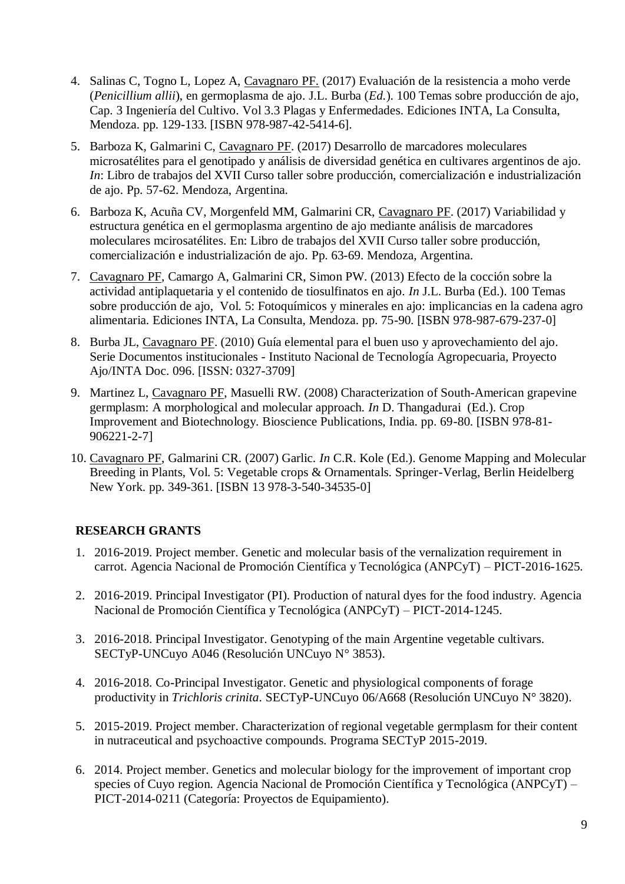- 4. Salinas C, Togno L, Lopez A, Cavagnaro PF. (2017) Evaluación de la resistencia a moho verde (*Penicillium allii*), en germoplasma de ajo. J.L. Burba (*Ed.*). 100 Temas sobre producción de ajo, Cap. 3 Ingeniería del Cultivo. Vol 3.3 Plagas y Enfermedades. Ediciones INTA, La Consulta, Mendoza. pp. 129-133. [ISBN 978-987-42-5414-6].
- 5. Barboza K, Galmarini C, Cavagnaro PF. (2017) Desarrollo de marcadores moleculares microsatélites para el genotipado y análisis de diversidad genética en cultivares argentinos de ajo. *In*: Libro de trabajos del XVII Curso taller sobre producción, comercialización e industrialización de ajo. Pp. 57-62. Mendoza, Argentina.
- 6. Barboza K, Acuña CV, Morgenfeld MM, Galmarini CR, Cavagnaro PF. (2017) Variabilidad y estructura genética en el germoplasma argentino de ajo mediante análisis de marcadores moleculares mcirosatélites. En: Libro de trabajos del XVII Curso taller sobre producción, comercialización e industrialización de ajo. Pp. 63-69. Mendoza, Argentina.
- 7. Cavagnaro PF, Camargo A, Galmarini CR, Simon PW. (2013) Efecto de la cocción sobre la actividad antiplaquetaria y el contenido de tiosulfinatos en ajo. *In* J.L. Burba (Ed.). 100 Temas sobre producción de ajo, Vol. 5: Fotoquímicos y minerales en ajo: implicancias en la cadena agro alimentaria. Ediciones INTA, La Consulta, Mendoza. pp. 75-90. [ISBN 978-987-679-237-0]
- 8. Burba JL, Cavagnaro PF. (2010) Guía elemental para el buen uso y aprovechamiento del ajo. Serie Documentos institucionales - Instituto Nacional de Tecnología Agropecuaria, Proyecto Ajo/INTA Doc. 096. [ISSN: 0327-3709]
- 9. Martinez L, Cavagnaro PF, Masuelli RW. (2008) Characterization of South-American grapevine germplasm: A morphological and molecular approach. *In* D. Thangadurai (Ed.). Crop Improvement and Biotechnology. Bioscience Publications, India. pp. 69-80. [ISBN 978-81- 906221-2-7]
- 10. Cavagnaro PF, Galmarini CR. (2007) Garlic. *In* C.R. Kole (Ed.). Genome Mapping and Molecular Breeding in Plants, Vol. 5: Vegetable crops & Ornamentals. Springer-Verlag, Berlin Heidelberg New York. pp. 349-361. [ISBN 13 978-3-540-34535-0]

# **RESEARCH GRANTS**

- 1. 2016-2019. Project member. Genetic and molecular basis of the vernalization requirement in carrot. Agencia Nacional de Promoción Científica y Tecnológica (ANPCyT) – PICT-2016-1625.
- 2. 2016-2019. Principal Investigator (PI). Production of natural dyes for the food industry. Agencia Nacional de Promoción Científica y Tecnológica (ANPCyT) – PICT-2014-1245.
- 3. 2016-2018. Principal Investigator. Genotyping of the main Argentine vegetable cultivars. SECTyP-UNCuyo A046 (Resolución UNCuyo N° 3853).
- 4. 2016-2018. Co-Principal Investigator. Genetic and physiological components of forage productivity in *Trichloris crinita*. SECTyP-UNCuyo 06/A668 (Resolución UNCuyo N° 3820).
- 5. 2015-2019. Project member. Characterization of regional vegetable germplasm for their content in nutraceutical and psychoactive compounds. Programa SECTyP 2015-2019.
- 6. 2014. Project member. Genetics and molecular biology for the improvement of important crop species of Cuyo region. Agencia Nacional de Promoción Científica y Tecnológica (ANPCyT) – PICT-2014-0211 (Categoría: Proyectos de Equipamiento).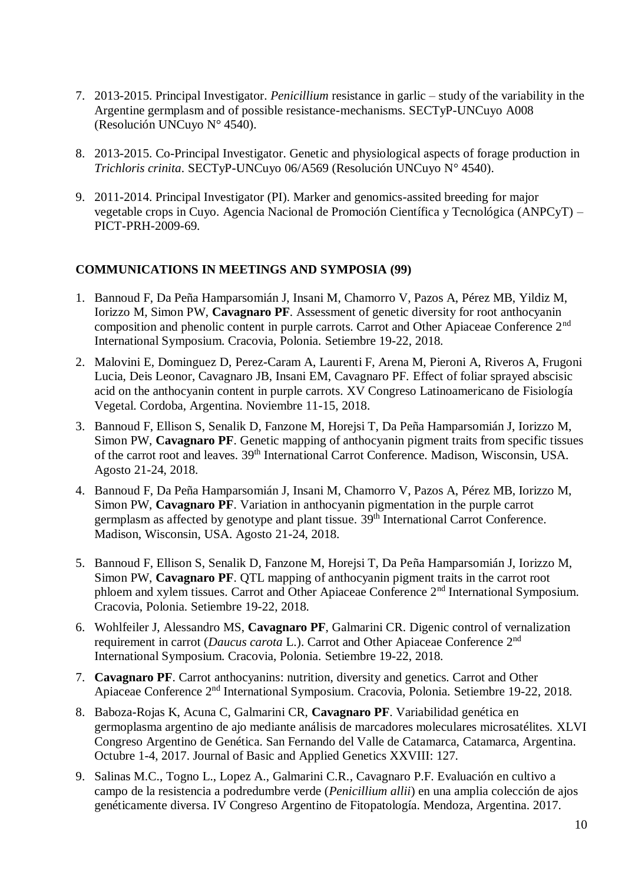- 7. 2013-2015. Principal Investigator. *Penicillium* resistance in garlic study of the variability in the Argentine germplasm and of possible resistance-mechanisms. SECTyP-UNCuyo A008 (Resolución UNCuyo N° 4540).
- 8. 2013-2015. Co-Principal Investigator. Genetic and physiological aspects of forage production in *Trichloris crinita*. SECTyP-UNCuyo 06/A569 (Resolución UNCuyo N° 4540).
- 9. 2011-2014. Principal Investigator (PI). Marker and genomics-assited breeding for major vegetable crops in Cuyo. Agencia Nacional de Promoción Científica y Tecnológica (ANPCyT) – PICT-PRH-2009-69.

## **COMMUNICATIONS IN MEETINGS AND SYMPOSIA (99)**

- 1. Bannoud F, Da Peña Hamparsomián J, Insani M, Chamorro V, Pazos A, Pérez MB, Yildiz M, Iorizzo M, Simon PW, **Cavagnaro PF**. Assessment of genetic diversity for root anthocyanin composition and phenolic content in purple carrots. Carrot and Other Apiaceae Conference 2nd International Symposium. Cracovia, Polonia. Setiembre 19-22, 2018.
- 2. Malovini E, Dominguez D, Perez-Caram A, Laurenti F, Arena M, Pieroni A, Riveros A, Frugoni Lucia, Deis Leonor, Cavagnaro JB, Insani EM, Cavagnaro PF. Effect of foliar sprayed abscisic acid on the anthocyanin content in purple carrots. XV Congreso Latinoamericano de Fisiología Vegetal. Cordoba, Argentina. Noviembre 11-15, 2018.
- 3. Bannoud F, Ellison S, Senalik D, Fanzone M, Horejsi T, Da Peña Hamparsomián J, Iorizzo M, Simon PW, **Cavagnaro PF**. Genetic mapping of anthocyanin pigment traits from specific tissues of the carrot root and leaves. 39<sup>th</sup> International Carrot Conference. Madison, Wisconsin, USA. Agosto 21-24, 2018.
- 4. Bannoud F, Da Peña Hamparsomián J, Insani M, Chamorro V, Pazos A, Pérez MB, Iorizzo M, Simon PW, **Cavagnaro PF**. Variation in anthocyanin pigmentation in the purple carrot germplasm as affected by genotype and plant tissue. 39<sup>th</sup> International Carrot Conference. Madison, Wisconsin, USA. Agosto 21-24, 2018.
- 5. Bannoud F, Ellison S, Senalik D, Fanzone M, Horejsi T, Da Peña Hamparsomián J, Iorizzo M, Simon PW, **Cavagnaro PF**. QTL mapping of anthocyanin pigment traits in the carrot root phloem and xylem tissues. Carrot and Other Apiaceae Conference 2nd International Symposium. Cracovia, Polonia. Setiembre 19-22, 2018.
- 6. Wohlfeiler J, Alessandro MS, **Cavagnaro PF**, Galmarini CR. Digenic control of vernalization requirement in carrot (*Daucus carota* L.). Carrot and Other Apiaceae Conference 2nd International Symposium. Cracovia, Polonia. Setiembre 19-22, 2018.
- 7. **Cavagnaro PF**. Carrot anthocyanins: nutrition, diversity and genetics. Carrot and Other Apiaceae Conference 2nd International Symposium. Cracovia, Polonia. Setiembre 19-22, 2018.
- 8. Baboza-Rojas K, Acuna C, Galmarini CR, **Cavagnaro PF**. Variabilidad genética en germoplasma argentino de ajo mediante análisis de marcadores moleculares microsatélites. XLVI Congreso Argentino de Genética. San Fernando del Valle de Catamarca, Catamarca, Argentina. Octubre 1-4, 2017. Journal of Basic and Applied Genetics XXVIII: 127.
- 9. Salinas M.C., Togno L., Lopez A., Galmarini C.R., Cavagnaro P.F. Evaluación en cultivo a campo de la resistencia a podredumbre verde (*Penicillium allii*) en una amplia colección de ajos genéticamente diversa. IV Congreso Argentino de Fitopatología. Mendoza, Argentina. 2017.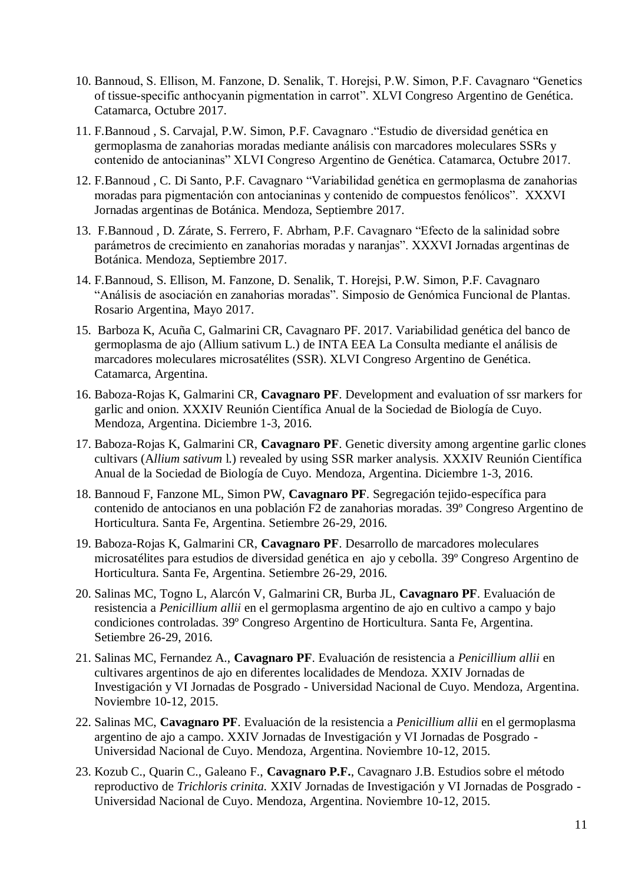- 10. Bannoud, S. Ellison, M. Fanzone, D. Senalik, T. Horejsi, P.W. Simon, P.F. Cavagnaro "Genetics of tissue-specific anthocyanin pigmentation in carrot". XLVI Congreso Argentino de Genética. Catamarca, Octubre 2017.
- 11. F.Bannoud , S. Carvajal, P.W. Simon, P.F. Cavagnaro ."Estudio de diversidad genética en germoplasma de zanahorias moradas mediante análisis con marcadores moleculares SSRs y contenido de antocianinas" XLVI Congreso Argentino de Genética. Catamarca, Octubre 2017.
- 12. F.Bannoud , C. Di Santo, P.F. Cavagnaro "Variabilidad genética en germoplasma de zanahorias moradas para pigmentación con antocianinas y contenido de compuestos fenólicos". XXXVI Jornadas argentinas de Botánica. Mendoza, Septiembre 2017.
- 13. F.Bannoud , D. Zárate, S. Ferrero, F. Abrham, P.F. Cavagnaro "Efecto de la salinidad sobre parámetros de crecimiento en zanahorias moradas y naranjas". XXXVI Jornadas argentinas de Botánica. Mendoza, Septiembre 2017.
- 14. F.Bannoud, S. Ellison, M. Fanzone, D. Senalik, T. Horejsi, P.W. Simon, P.F. Cavagnaro "Análisis de asociación en zanahorias moradas". Simposio de Genómica Funcional de Plantas. Rosario Argentina, Mayo 2017.
- 15. Barboza K, Acuña C, Galmarini CR, Cavagnaro PF. 2017. Variabilidad genética del banco de germoplasma de ajo (Allium sativum L.) de INTA EEA La Consulta mediante el análisis de marcadores moleculares microsatélites (SSR). XLVI Congreso Argentino de Genética. Catamarca, Argentina.
- 16. Baboza-Rojas K, Galmarini CR, **Cavagnaro PF**. Development and evaluation of ssr markers for garlic and onion. XXXIV Reunión Científica Anual de la Sociedad de Biología de Cuyo. Mendoza, Argentina. Diciembre 1-3, 2016.
- 17. Baboza-Rojas K, Galmarini CR, **Cavagnaro PF**. Genetic diversity among argentine garlic clones cultivars (A*llium sativum* l.) revealed by using SSR marker analysis. XXXIV Reunión Científica Anual de la Sociedad de Biología de Cuyo. Mendoza, Argentina. Diciembre 1-3, 2016.
- 18. Bannoud F, Fanzone ML, Simon PW, **Cavagnaro PF**. Segregación tejido-específica para contenido de antocianos en una población F2 de zanahorias moradas. 39º Congreso Argentino de Horticultura. Santa Fe, Argentina. Setiembre 26-29, 2016.
- 19. Baboza-Rojas K, Galmarini CR, **Cavagnaro PF**. Desarrollo de marcadores moleculares microsatélites para estudios de diversidad genética en ajo y cebolla. 39º Congreso Argentino de Horticultura. Santa Fe, Argentina. Setiembre 26-29, 2016.
- 20. Salinas MC, Togno L, Alarcón V, Galmarini CR, Burba JL, **Cavagnaro PF**. Evaluación de resistencia a *Penicillium allii* en el germoplasma argentino de ajo en cultivo a campo y bajo condiciones controladas. 39º Congreso Argentino de Horticultura. Santa Fe, Argentina. Setiembre 26-29, 2016.
- 21. Salinas MC, Fernandez A., **Cavagnaro PF**. Evaluación de resistencia a *Penicillium allii* en cultivares argentinos de ajo en diferentes localidades de Mendoza. XXIV Jornadas de Investigación y VI Jornadas de Posgrado - Universidad Nacional de Cuyo. Mendoza, Argentina. Noviembre 10-12, 2015.
- 22. Salinas MC, **Cavagnaro PF**. Evaluación de la resistencia a *Penicillium allii* en el germoplasma argentino de ajo a campo. XXIV Jornadas de Investigación y VI Jornadas de Posgrado - Universidad Nacional de Cuyo. Mendoza, Argentina. Noviembre 10-12, 2015.
- 23. Kozub C., Quarin C., Galeano F., **Cavagnaro P.F.**, Cavagnaro J.B. Estudios sobre el método reproductivo de *Trichloris crinita.* XXIV Jornadas de Investigación y VI Jornadas de Posgrado - Universidad Nacional de Cuyo. Mendoza, Argentina. Noviembre 10-12, 2015.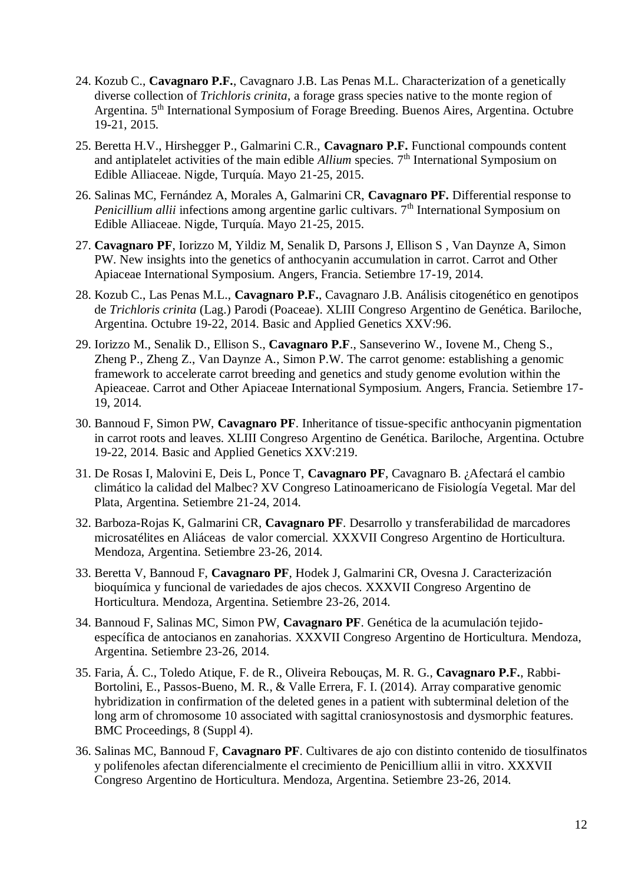- 24. Kozub C., **Cavagnaro P.F.**, Cavagnaro J.B. Las Penas M.L. Characterization of a genetically diverse collection of *Trichloris crinita*, a forage grass species native to the monte region of Argentina. 5<sup>th</sup> International Symposium of Forage Breeding. Buenos Aires, Argentina. Octubre 19-21, 2015.
- 25. Beretta H.V., Hirshegger P., Galmarini C.R., **Cavagnaro P.F.** Functional compounds content and antiplatelet activities of the main edible *Allium* species. 7<sup>th</sup> International Symposium on Edible Alliaceae. Nigde, Turquía. Mayo 21-25, 2015.
- 26. Salinas MC, Fernández A, Morales A, Galmarini CR, **Cavagnaro PF.** Differential response to *Penicillium allii* infections among argentine garlic cultivars. 7<sup>th</sup> International Symposium on Edible Alliaceae. Nigde, Turquía. Mayo 21-25, 2015.
- 27. **Cavagnaro PF**, Iorizzo M, Yildiz M, Senalik D, Parsons J, Ellison S , Van Daynze A, Simon PW. New insights into the genetics of anthocyanin accumulation in carrot. Carrot and Other Apiaceae International Symposium. Angers, Francia. Setiembre 17-19, 2014.
- 28. Kozub C., Las Penas M.L., **Cavagnaro P.F.**, Cavagnaro J.B. Análisis citogenético en genotipos de *Trichloris crinita* (Lag.) Parodi (Poaceae). XLIII Congreso Argentino de Genética. Bariloche, Argentina. Octubre 19-22, 2014. Basic and Applied Genetics XXV:96.
- 29. Iorizzo M., Senalik D., Ellison S., **Cavagnaro P.F**., Sanseverino W., Iovene M., Cheng S., Zheng P., Zheng Z., Van Daynze A., Simon P.W. The carrot genome: establishing a genomic framework to accelerate carrot breeding and genetics and study genome evolution within the Apieaceae. Carrot and Other Apiaceae International Symposium. Angers, Francia. Setiembre 17- 19, 2014.
- 30. Bannoud F, Simon PW, **Cavagnaro PF**. Inheritance of tissue-specific anthocyanin pigmentation in carrot roots and leaves. XLIII Congreso Argentino de Genética. Bariloche, Argentina. Octubre 19-22, 2014. Basic and Applied Genetics XXV:219.
- 31. De Rosas I, Malovini E, Deis L, Ponce T, **Cavagnaro PF**, Cavagnaro B. ¿Afectará el cambio climático la calidad del Malbec? XV Congreso Latinoamericano de Fisiología Vegetal. Mar del Plata, Argentina. Setiembre 21-24, 2014.
- 32. Barboza-Rojas K, Galmarini CR, **Cavagnaro PF**. Desarrollo y transferabilidad de marcadores microsatélites en Aliáceas de valor comercial. XXXVII Congreso Argentino de Horticultura. Mendoza, Argentina. Setiembre 23-26, 2014.
- 33. Beretta V, Bannoud F, **Cavagnaro PF**, Hodek J, Galmarini CR, Ovesna J. Caracterización bioquímica y funcional de variedades de ajos checos. XXXVII Congreso Argentino de Horticultura. Mendoza, Argentina. Setiembre 23-26, 2014.
- 34. Bannoud F, Salinas MC, Simon PW, **Cavagnaro PF**. Genética de la acumulación tejidoespecífica de antocianos en zanahorias. XXXVII Congreso Argentino de Horticultura. Mendoza, Argentina. Setiembre 23-26, 2014.
- 35. Faria, Á. C., Toledo Atique, F. de R., Oliveira Rebouças, M. R. G., **Cavagnaro P.F.**, Rabbi-Bortolini, E., Passos-Bueno, M. R., & Valle Errera, F. I. (2014). Array comparative genomic hybridization in confirmation of the deleted genes in a patient with subterminal deletion of the long arm of chromosome 10 associated with sagittal craniosynostosis and dysmorphic features. BMC Proceedings, 8 (Suppl 4).
- 36. Salinas MC, Bannoud F, **Cavagnaro PF**. Cultivares de ajo con distinto contenido de tiosulfinatos y polifenoles afectan diferencialmente el crecimiento de Penicillium allii in vitro. XXXVII Congreso Argentino de Horticultura. Mendoza, Argentina. Setiembre 23-26, 2014.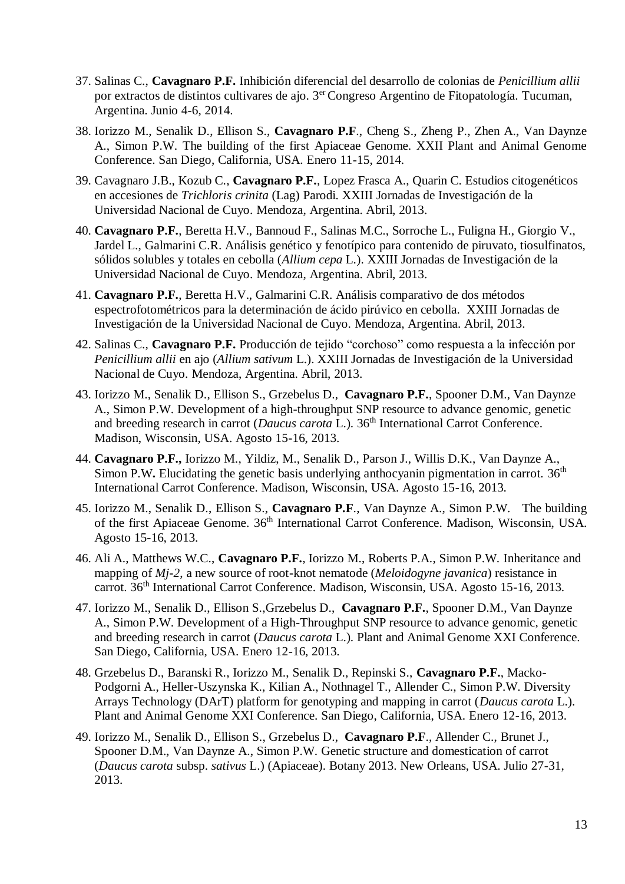- 37. Salinas C., **Cavagnaro P.F.** Inhibición diferencial del desarrollo de colonias de *Penicillium allii* por extractos de distintos cultivares de ajo. 3<sup>er</sup> Congreso Argentino de Fitopatología. Tucuman, Argentina. Junio 4-6, 2014.
- 38. Iorizzo M., Senalik D., Ellison S., **Cavagnaro P.F**., Cheng S., Zheng P., Zhen A., Van Daynze A., Simon P.W. The building of the first Apiaceae Genome. XXII Plant and Animal Genome Conference. San Diego, California, USA. Enero 11-15, 2014.
- 39. Cavagnaro J.B., Kozub C., **Cavagnaro P.F.**, Lopez Frasca A., Quarin C. Estudios citogenéticos en accesiones de *Trichloris crinita* (Lag) Parodi. XXIII Jornadas de Investigación de la Universidad Nacional de Cuyo. Mendoza, Argentina. Abril, 2013.
- 40. **Cavagnaro P.F.**, Beretta H.V., Bannoud F., Salinas M.C., Sorroche L., Fuligna H., Giorgio V., Jardel L., Galmarini C.R. Análisis genético y fenotípico para contenido de piruvato, tiosulfinatos, sólidos solubles y totales en cebolla (*Allium cepa* L.). XXIII Jornadas de Investigación de la Universidad Nacional de Cuyo. Mendoza, Argentina. Abril, 2013.
- 41. **Cavagnaro P.F.**, Beretta H.V., Galmarini C.R. Análisis comparativo de dos métodos espectrofotométricos para la determinación de ácido pirúvico en cebolla. XXIII Jornadas de Investigación de la Universidad Nacional de Cuyo. Mendoza, Argentina. Abril, 2013.
- 42. Salinas C., **Cavagnaro P.F.** Producción de tejido "corchoso" como respuesta a la infección por *Penicillium allii* en ajo (*Allium sativum* L.). XXIII Jornadas de Investigación de la Universidad Nacional de Cuyo. Mendoza, Argentina. Abril, 2013.
- 43. Iorizzo M., Senalik D., Ellison S., Grzebelus D., **Cavagnaro P.F.**, Spooner D.M., Van Daynze A., Simon P.W. Development of a high-throughput SNP resource to advance genomic, genetic and breeding research in carrot (*Daucus carota* L.). 36<sup>th</sup> International Carrot Conference. Madison, Wisconsin, USA. Agosto 15-16, 2013.
- 44. **Cavagnaro P.F.,** Iorizzo M., Yildiz, M., Senalik D., Parson J., Willis D.K., Van Daynze A., Simon P.W. Elucidating the genetic basis underlying anthocyanin pigmentation in carrot. 36<sup>th</sup> International Carrot Conference. Madison, Wisconsin, USA. Agosto 15-16, 2013.
- 45. Iorizzo M., Senalik D., Ellison S., **Cavagnaro P.F**., Van Daynze A., Simon P.W. The building of the first Apiaceae Genome. 36<sup>th</sup> International Carrot Conference. Madison, Wisconsin, USA. Agosto 15-16, 2013.
- 46. Ali A., Matthews W.C., **Cavagnaro P.F.**, Iorizzo M., Roberts P.A., Simon P.W. Inheritance and mapping of *Mj-2*, a new source of root-knot nematode (*Meloidogyne javanica*) resistance in carrot. 36<sup>th</sup> International Carrot Conference. Madison, Wisconsin, USA. Agosto 15-16, 2013.
- 47. Iorizzo M., Senalik D., Ellison S.,Grzebelus D., **Cavagnaro P.F.**, Spooner D.M., Van Daynze A., Simon P.W. Development of a High-Throughput SNP resource to advance genomic, genetic and breeding research in carrot (*Daucus carota* L.). Plant and Animal Genome XXI Conference. San Diego, California, USA. Enero 12-16, 2013.
- 48. Grzebelus D., Baranski R., Iorizzo M., Senalik D., Repinski S., **Cavagnaro P.F.**, Macko-Podgorni A., Heller-Uszynska K., Kilian A., Nothnagel T., Allender C., Simon P.W. Diversity Arrays Technology (DArT) platform for genotyping and mapping in carrot (*Daucus carota* L.). Plant and Animal Genome XXI Conference. San Diego, California, USA. Enero 12-16, 2013.
- 49. Iorizzo M., Senalik D., Ellison S., Grzebelus D., **Cavagnaro P.F**., Allender C., Brunet J., Spooner D.M., Van Daynze A., Simon P.W. Genetic structure and domestication of carrot (*Daucus carota* subsp. *sativus* L.) (Apiaceae). Botany 2013. New Orleans, USA. Julio 27-31, 2013.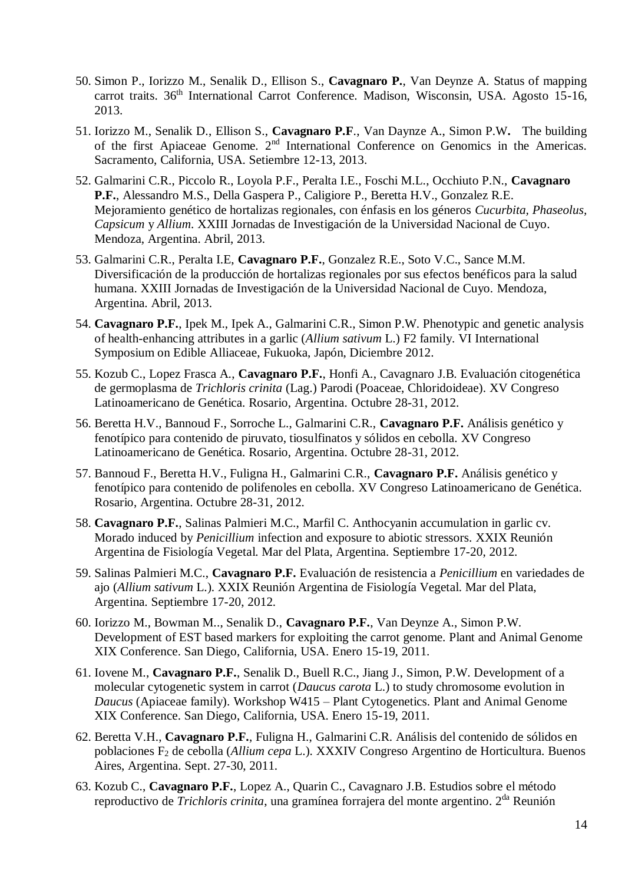- 50. Simon P., Iorizzo M., Senalik D., Ellison S., **Cavagnaro P.**, Van Deynze A. Status of mapping carrot traits. 36<sup>th</sup> International Carrot Conference. Madison, Wisconsin, USA. Agosto 15-16, 2013.
- 51. Iorizzo M., Senalik D., Ellison S., **Cavagnaro P.F**., Van Daynze A., Simon P.W**.** The building of the first Apiaceae Genome. 2nd International Conference on Genomics in the Americas. Sacramento, California, USA. Setiembre 12-13, 2013.
- 52. Galmarini C.R., Piccolo R., Loyola P.F., Peralta I.E., Foschi M.L., Occhiuto P.N., **Cavagnaro P.F.**, Alessandro M.S., Della Gaspera P., Caligiore P., Beretta H.V., Gonzalez R.E. Mejoramiento genético de hortalizas regionales, con énfasis en los géneros *Cucurbita, Phaseolus, Capsicum* y *Allium*. XXIII Jornadas de Investigación de la Universidad Nacional de Cuyo. Mendoza, Argentina. Abril, 2013.
- 53. Galmarini C.R., Peralta I.E, **Cavagnaro P.F.**, Gonzalez R.E., Soto V.C., Sance M.M. Diversificación de la producción de hortalizas regionales por sus efectos benéficos para la salud humana. XXIII Jornadas de Investigación de la Universidad Nacional de Cuyo. Mendoza, Argentina. Abril, 2013.
- 54. **Cavagnaro P.F.**, Ipek M., Ipek A., Galmarini C.R., Simon P.W. Phenotypic and genetic analysis of health-enhancing attributes in a garlic (*Allium sativum* L.) F2 family. VI International Symposium on Edible Alliaceae, Fukuoka, Japón, Diciembre 2012.
- 55. Kozub C., Lopez Frasca A., **Cavagnaro P.F.**, Honfi A., Cavagnaro J.B. Evaluación citogenética de germoplasma de *Trichloris crinita* (Lag.) Parodi (Poaceae, Chloridoideae). XV Congreso Latinoamericano de Genética. Rosario, Argentina. Octubre 28-31, 2012.
- 56. Beretta H.V., Bannoud F., Sorroche L., Galmarini C.R., **Cavagnaro P.F.** Análisis genético y fenotípico para contenido de piruvato, tiosulfinatos y sólidos en cebolla. XV Congreso Latinoamericano de Genética. Rosario, Argentina. Octubre 28-31, 2012.
- 57. Bannoud F., Beretta H.V., Fuligna H., Galmarini C.R., **Cavagnaro P.F.** Análisis genético y fenotípico para contenido de polifenoles en cebolla. XV Congreso Latinoamericano de Genética. Rosario, Argentina. Octubre 28-31, 2012.
- 58. **Cavagnaro P.F.**, Salinas Palmieri M.C., Marfil C. Anthocyanin accumulation in garlic cv. Morado induced by *Penicillium* infection and exposure to abiotic stressors. XXIX Reunión Argentina de Fisiología Vegetal. Mar del Plata, Argentina. Septiembre 17-20, 2012.
- 59. Salinas Palmieri M.C., **Cavagnaro P.F.** Evaluación de resistencia a *Penicillium* en variedades de ajo (*Allium sativum* L.). XXIX Reunión Argentina de Fisiología Vegetal. Mar del Plata, Argentina. Septiembre 17-20, 2012.
- 60. Iorizzo M., Bowman M.., Senalik D., **Cavagnaro P.F.**, Van Deynze A., Simon P.W. Development of EST based markers for exploiting the carrot genome. Plant and Animal Genome XIX Conference. San Diego, California, USA. Enero 15-19, 2011.
- 61. Iovene M., **Cavagnaro P.F.**, Senalik D., Buell R.C., Jiang J., Simon, P.W. Development of a molecular cytogenetic system in carrot (*Daucus carota* L.) to study chromosome evolution in *Daucus* (Apiaceae family). Workshop W415 – Plant Cytogenetics. Plant and Animal Genome XIX Conference. San Diego, California, USA. Enero 15-19, 2011.
- 62. Beretta V.H., **Cavagnaro P.F.**, Fuligna H., Galmarini C.R. Análisis del contenido de sólidos en poblaciones F<sup>2</sup> de cebolla (*Allium cepa* L.). XXXIV Congreso Argentino de Horticultura. Buenos Aires, Argentina. Sept. 27-30, 2011.
- 63. Kozub C., **Cavagnaro P.F.**, Lopez A., Quarin C., Cavagnaro J.B. Estudios sobre el método reproductivo de *Trichloris crinita*, una gramínea forrajera del monte argentino. 2da Reunión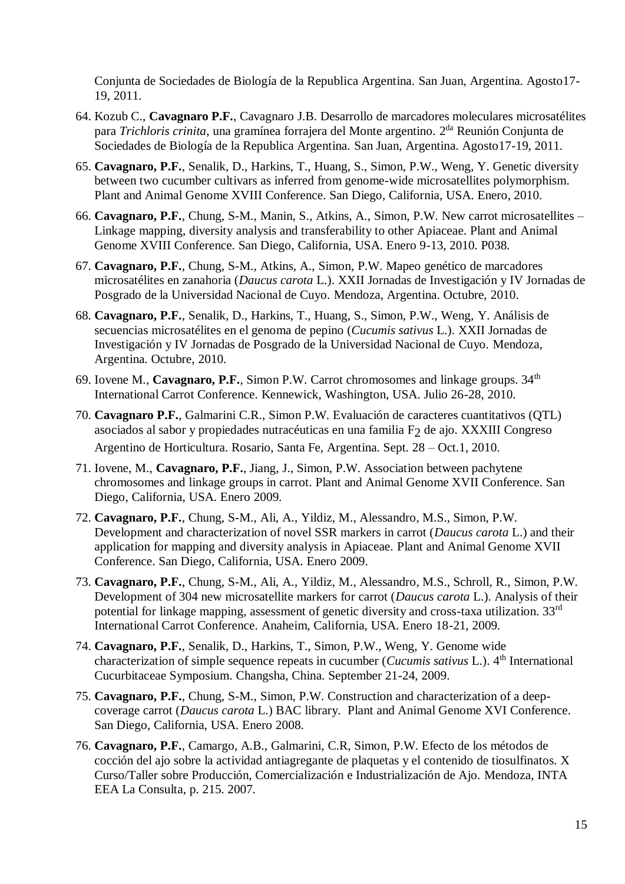Conjunta de Sociedades de Biología de la Republica Argentina. San Juan, Argentina. Agosto17- 19, 2011.

- 64. Kozub C., **Cavagnaro P.F.**, Cavagnaro J.B. Desarrollo de marcadores moleculares microsatélites para *Trichloris crinita*, una gramínea forrajera del Monte argentino. 2 da Reunión Conjunta de Sociedades de Biología de la Republica Argentina. San Juan, Argentina. Agosto17-19, 2011.
- 65. **Cavagnaro, P.F.**, Senalik, D., Harkins, T., Huang, S., Simon, P.W., Weng, Y. Genetic diversity between two cucumber cultivars as inferred from genome-wide microsatellites polymorphism. Plant and Animal Genome XVIII Conference. San Diego, California, USA. Enero, 2010.
- 66. **Cavagnaro, P.F.**, Chung, S-M., Manin, S., Atkins, A., Simon, P.W. New carrot microsatellites Linkage mapping, diversity analysis and transferability to other Apiaceae. Plant and Animal Genome XVIII Conference. San Diego, California, USA. Enero 9-13, 2010. P038.
- 67. **Cavagnaro, P.F.**, Chung, S-M., Atkins, A., Simon, P.W. Mapeo genético de marcadores microsatélites en zanahoria (*Daucus carota* L.). XXII Jornadas de Investigación y IV Jornadas de Posgrado de la Universidad Nacional de Cuyo. Mendoza, Argentina. Octubre, 2010.
- 68. **Cavagnaro, P.F.**, Senalik, D., Harkins, T., Huang, S., Simon, P.W., Weng, Y. Análisis de secuencias microsatélites en el genoma de pepino (*Cucumis sativus* L.). XXII Jornadas de Investigación y IV Jornadas de Posgrado de la Universidad Nacional de Cuyo. Mendoza, Argentina. Octubre, 2010.
- 69. Iovene M., **Cavagnaro, P.F.**, Simon P.W. Carrot chromosomes and linkage groups. 34<sup>th</sup> International Carrot Conference. Kennewick, Washington, USA. Julio 26-28, 2010.
- 70. **Cavagnaro P.F.**, Galmarini C.R., Simon P.W. Evaluación de caracteres cuantitativos (QTL) asociados al sabor y propiedades nutracéuticas en una familia  $F_2$  de ajo. XXXIII Congreso Argentino de Horticultura. Rosario, Santa Fe, Argentina. Sept. 28 – Oct.1, 2010.
- 71. Iovene, M., **Cavagnaro, P.F.**, Jiang, J., Simon, P.W. Association between pachytene chromosomes and linkage groups in carrot. Plant and Animal Genome XVII Conference. San Diego, California, USA. Enero 2009.
- 72. **Cavagnaro, P.F.**, Chung, S-M., Ali, A., Yildiz, M., Alessandro, M.S., Simon, P.W. Development and characterization of novel SSR markers in carrot (*Daucus carota* L.) and their application for mapping and diversity analysis in Apiaceae. Plant and Animal Genome XVII Conference. San Diego, California, USA. Enero 2009.
- 73. **Cavagnaro, P.F.**, Chung, S-M., Ali, A., Yildiz, M., Alessandro, M.S., Schroll, R., Simon, P.W. Development of 304 new microsatellite markers for carrot (*Daucus carota* L.). Analysis of their potential for linkage mapping, assessment of genetic diversity and cross-taxa utilization. 33<sup>rd</sup> International Carrot Conference. Anaheim, California, USA. Enero 18-21, 2009.
- 74. **Cavagnaro, P.F.**, Senalik, D., Harkins, T., Simon, P.W., Weng, Y. Genome wide characterization of simple sequence repeats in cucumber (*Cucumis sativus* L.). 4th International Cucurbitaceae Symposium. Changsha, China. September 21-24, 2009.
- 75. **Cavagnaro, P.F.**, Chung, S-M., Simon, P.W. Construction and characterization of a deepcoverage carrot (*Daucus carota* L.) BAC library. Plant and Animal Genome XVI Conference. San Diego, California, USA. Enero 2008.
- 76. **Cavagnaro, P.F.**, Camargo, A.B., Galmarini, C.R, Simon, P.W. Efecto de los métodos de cocción del ajo sobre la actividad antiagregante de plaquetas y el contenido de tiosulfinatos. X Curso/Taller sobre Producción, Comercialización e Industrialización de Ajo. Mendoza, INTA EEA La Consulta, p. 215. 2007.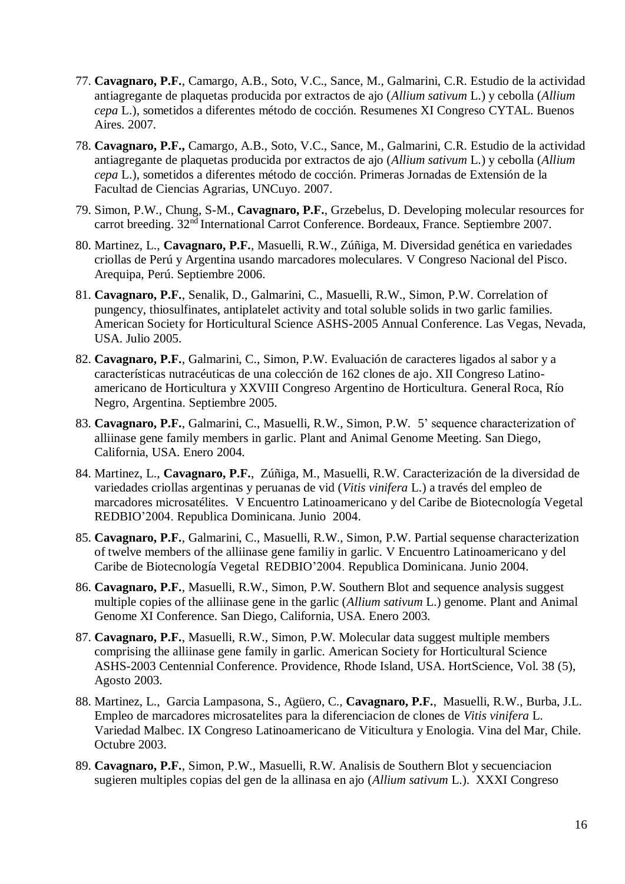- 77. **Cavagnaro, P.F.**, Camargo, A.B., Soto, V.C., Sance, M., Galmarini, C.R. Estudio de la actividad antiagregante de plaquetas producida por extractos de ajo (*Allium sativum* L.) y cebolla (*Allium cepa* L.), sometidos a diferentes método de cocción. Resumenes XI Congreso CYTAL. Buenos Aires. 2007.
- 78. **Cavagnaro, P.F.,** Camargo, A.B., Soto, V.C., Sance, M., Galmarini, C.R. Estudio de la actividad antiagregante de plaquetas producida por extractos de ajo (*Allium sativum* L.) y cebolla (*Allium cepa* L.), sometidos a diferentes método de cocción. Primeras Jornadas de Extensión de la Facultad de Ciencias Agrarias, UNCuyo. 2007.
- 79. Simon, P.W., Chung, S-M., **Cavagnaro, P.F.**, Grzebelus, D. Developing molecular resources for carrot breeding. 32nd International Carrot Conference. Bordeaux, France. Septiembre 2007.
- 80. Martinez, L., **Cavagnaro, P.F.**, Masuelli, R.W., Zúñiga, M. Diversidad genética en variedades criollas de Perú y Argentina usando marcadores moleculares. V Congreso Nacional del Pisco. Arequipa, Perú. Septiembre 2006.
- 81. **Cavagnaro, P.F.**, Senalik, D., Galmarini, C., Masuelli, R.W., Simon, P.W. Correlation of pungency, thiosulfinates, antiplatelet activity and total soluble solids in two garlic families. American Society for Horticultural Science ASHS-2005 Annual Conference. Las Vegas, Nevada, USA. Julio 2005.
- 82. **Cavagnaro, P.F.**, Galmarini, C., Simon, P.W. Evaluación de caracteres ligados al sabor y a características nutracéuticas de una colección de 162 clones de ajo. XII Congreso Latinoamericano de Horticultura y XXVIII Congreso Argentino de Horticultura. General Roca, Río Negro, Argentina. Septiembre 2005.
- 83. **Cavagnaro, P.F.**, Galmarini, C., Masuelli, R.W., Simon, P.W. 5' sequence characterization of alliinase gene family members in garlic. Plant and Animal Genome Meeting. San Diego, California, USA. Enero 2004.
- 84. Martinez, L., **Cavagnaro, P.F.**, Zúñiga, M., Masuelli, R.W. Caracterización de la diversidad de variedades criollas argentinas y peruanas de vid (*Vitis vinifera* L.) a través del empleo de marcadores microsatélites. V Encuentro Latinoamericano y del Caribe de Biotecnología Vegetal REDBIO'2004. Republica Dominicana. Junio 2004.
- 85. **Cavagnaro, P.F.**, Galmarini, C., Masuelli, R.W., Simon, P.W. Partial sequense characterization of twelve members of the alliinase gene familiy in garlic. V Encuentro Latinoamericano y del Caribe de Biotecnología Vegetal REDBIO'2004. Republica Dominicana. Junio 2004.
- 86. **Cavagnaro, P.F.**, Masuelli, R.W., Simon, P.W. Southern Blot and sequence analysis suggest multiple copies of the alliinase gene in the garlic (*Allium sativum* L.) genome. Plant and Animal Genome XI Conference. San Diego, California, USA. Enero 2003.
- 87. **Cavagnaro, P.F.**, Masuelli, R.W., Simon, P.W. Molecular data suggest multiple members comprising the alliinase gene family in garlic. American Society for Horticultural Science ASHS-2003 Centennial Conference. Providence, Rhode Island, USA. HortScience, Vol. 38 (5), Agosto 2003.
- 88. Martinez, L., Garcia Lampasona, S., Agüero, C., **Cavagnaro, P.F.**, Masuelli, R.W., Burba, J.L. Empleo de marcadores microsatelites para la diferenciacion de clones de *Vitis vinifera* L. Variedad Malbec. IX Congreso Latinoamericano de Viticultura y Enologia. Vina del Mar, Chile. Octubre 2003.
- 89. **Cavagnaro, P.F.**, Simon, P.W., Masuelli, R.W. Analisis de Southern Blot y secuenciacion sugieren multiples copias del gen de la allinasa en ajo (*Allium sativum* L.). XXXI Congreso